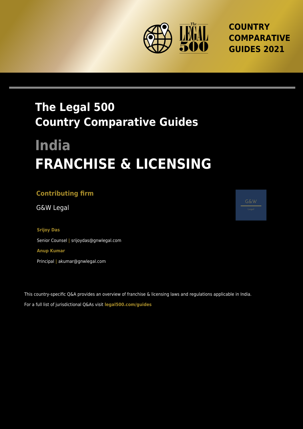

**COUNTRY COMPARATIVE GUIDES 2021**

## **The Legal 500 Country Comparative Guides**

# **India FRANCHISE & LICENSING**

## **Contributing firm**

G&W Legal

**Srijoy Das** Senior Counsel **|** srijoydas@gnwlegal.com **Anup Kumar** Principal **|** akumar@gnwlegal.com

This country-specific Q&A provides an overview of franchise & licensing laws and regulations applicable in India. For a full list of jurisdictional Q&As visit **[legal500.com/guides](https://www.legal500.com/guides/)**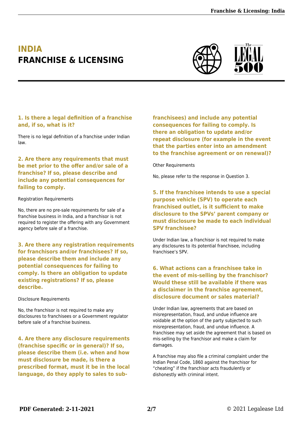## **INDIA FRANCHISE & LICENSING**



#### **1. Is there a legal definition of a franchise and, if so, what is it?**

There is no legal definition of a franchise under Indian law.

#### **2. Are there any requirements that must be met prior to the offer and/or sale of a franchise? If so, please describe and include any potential consequences for failing to comply.**

#### Registration Requirements

No, there are no pre-sale requirements for sale of a franchise business in India, and a franchisor is not required to register the offering with any Government agency before sale of a franchise.

**3. Are there any registration requirements for franchisors and/or franchisees? If so, please describe them and include any potential consequences for failing to comply. Is there an obligation to update existing registrations? If so, please describe.**

#### Disclosure Requirements

No, the franchisor is not required to make any disclosures to franchisees or a Government regulator before sale of a franchise business.

**4. Are there any disclosure requirements (franchise specific or in general)? If so, please describe them (i.e. when and how must disclosure be made, is there a prescribed format, must it be in the local language, do they apply to sales to sub-**

**franchisees) and include any potential consequences for failing to comply. Is there an obligation to update and/or repeat disclosure (for example in the event that the parties enter into an amendment to the franchise agreement or on renewal)?**

#### Other Requirements

No, please refer to the response in Question 3.

#### **5. If the franchisee intends to use a special purpose vehicle (SPV) to operate each franchised outlet, is it sufficient to make disclosure to the SPVs' parent company or must disclosure be made to each individual SPV franchisee?**

Under Indian law, a franchisor is not required to make any disclosures to its potential franchisee, including franchisee's SPV.

#### **6. What actions can a franchisee take in the event of mis-selling by the franchisor? Would these still be available if there was a disclaimer in the franchise agreement, disclosure document or sales material?**

Under Indian law, agreements that are based on misrepresentation, fraud, and undue influence are voidable at the option of the party subjected to such misrepresentation, fraud, and undue influence. A franchisee may set aside the agreement that is based on mis-selling by the franchisor and make a claim for damages.

A franchise may also file a criminal complaint under the Indian Penal Code, 1860 against the franchisor for "cheating" if the franchisor acts fraudulently or dishonestly with criminal intent.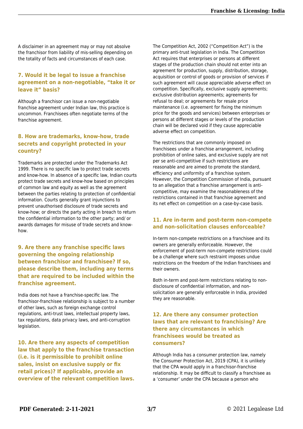A disclaimer in an agreement may or may not absolve the franchisor from liability of mis-selling depending on the totality of facts and circumstances of each case.

#### **7. Would it be legal to issue a franchise agreement on a non-negotiable, "take it or leave it" basis?**

Although a franchisor can issue a non-negotiable franchise agreement under Indian law, this practice is uncommon. Franchisees often negotiate terms of the franchise agreement.

#### **8. How are trademarks, know-how, trade secrets and copyright protected in your country?**

Trademarks are protected under the Trademarks Act 1999. There is no specific law to protect trade secrets and know-how. In absence of a specific law, Indian courts protect trade secrets and know-how based on principles of common law and equity as well as the agreement between the parties relating to protection of confidential information. Courts generally grant injunctions to prevent unauthorised disclosure of trade secrets and know-how; or directs the party acting in breach to return the confidential information to the other party; and/ or awards damages for misuse of trade secrets and knowhow.

#### **9. Are there any franchise specific laws governing the ongoing relationship between franchisor and franchisee? If so, please describe them, including any terms that are required to be included within the franchise agreement.**

India does not have a franchise-specific law. The franchisor-franchisee relationship is subject to a number of other laws, such as foreign exchange control regulations, anti-trust laws, intellectual property laws, tax regulations, data privacy laws, and anti-corruption legislation.

**10. Are there any aspects of competition law that apply to the franchise transaction (i.e. is it permissible to prohibit online sales, insist on exclusive supply or fix retail prices)? If applicable, provide an overview of the relevant competition laws.** The Competition Act, 2002 ("Competition Act") is the primary anti-trust legislation in India. The Competition Act requires that enterprises or persons at different stages of the production chain should not enter into an agreement for production, supply, distribution, storage, acquisition or control of goods or provision of services if such agreement will cause appreciable adverse effect on competition. Specifically, exclusive supply agreements; exclusive distribution agreements; agreements for refusal to deal; or agreements for resale price maintenance (i.e. agreement for fixing the minimum price for the goods and services) between enterprises or persons at different stages or levels of the production chain will be declared void if they cause appreciable adverse effect on competition.

The restrictions that are commonly imposed on franchisees under a franchise arrangement, including prohibition of online sales, and exclusive supply are not per se anti-competitive if such restrictions are reasonable and are aimed to promote the standard, efficiency and uniformity of a franchise system. However, the Competition Commission of India, pursuant to an allegation that a franchise arrangement is anticompetitive, may examine the reasonableness of the restrictions contained in that franchise agreement and its net effect on competition on a case-by-case basis.

#### **11. Are in-term and post-term non-compete and non-solicitation clauses enforceable?**

In-term non-compete restrictions on a franchisee and its owners are generally enforceable. However, the enforcement of post-term non-compete restrictions could be a challenge where such restraint imposes undue restrictions on the freedom of the Indian franchisees and their owners.

Both in-term and post-term restrictions relating to nondisclosure of confidential information, and nonsolicitation are generally enforceable in India, provided they are reasonable.

#### **12. Are there any consumer protection laws that are relevant to franchising? Are there any circumstances in which franchisees would be treated as consumers?**

Although India has a consumer protection law, namely the Consumer Protection Act, 2019 (CPA), it is unlikely that the CPA would apply in a franchisor-franchise relationship. It may be difficult to classify a franchisee as a 'consumer' under the CPA because a person who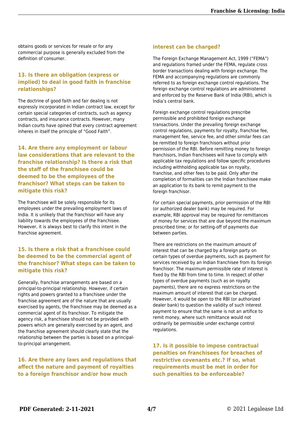obtains goods or services for resale or for any commercial purpose is generally excluded from the definition of consumer.

#### **13. Is there an obligation (express or implied) to deal in good faith in franchise relationships?**

The doctrine of good faith and fair dealing is not expressly incorporated in Indian contract law, except for certain special categories of contracts, such as agency contracts, and insurance contracts. However, many Indian courts have opined that every contract agreement inheres in itself the principle of "Good Faith".

**14. Are there any employment or labour law considerations that are relevant to the franchise relationship? Is there a risk that the staff of the franchisee could be deemed to be the employees of the franchisor? What steps can be taken to mitigate this risk?**

The franchisee will be solely responsible for its employees under the prevailing employment laws of India. It is unlikely that the franchisor will have any liability towards the employees of the franchisee. However, it is always best to clarify this intent in the franchise agreement.

#### **15. Is there a risk that a franchisee could be deemed to be the commercial agent of the franchisor? What steps can be taken to mitigate this risk?**

Generally, franchise arrangements are based on a principal-to-principal relationship. However, if certain rights and powers granted to a franchisee under the franchise agreement are of the nature that are usually exercised by agents, the franchisee may be deemed as a commercial agent of its franchisor. To mitigate the agency risk, a franchisee should not be provided with powers which are generally exercised by an agent, and the franchise agreement should clearly state that the relationship between the parties is based on a principalto-principal arrangement.

**16. Are there any laws and regulations that affect the nature and payment of royalties to a foreign franchisor and/or how much**

#### **interest can be charged?**

The Foreign Exchange Management Act, 1999 ("FEMA") and regulations framed under the FEMA, regulate cross border transactions dealing with foreign exchange. The FEMA and accompanying regulations are commonly referred to as foreign exchange control regulations. The foreign exchange control regulations are administered and enforced by the Reserve Bank of India (RBI), which is India's central bank.

Foreign exchange control regulations prescribe permissible and prohibited foreign exchange transactions. Under the prevailing foreign exchange control regulations, payments for royalty, franchise fee, management fee, service fee, and other similar fees can be remitted to foreign franchisors without prior permission of the RBI. Before remitting money to foreign franchisors, Indian franchisees will have to comply with applicable tax regulations and follow specific procedures including withholding applicable tax on royalty, franchise, and other fees to be paid. Only after the completion of formalities can the Indian franchisee make an application to its bank to remit payment to the foreign franchisor.

For certain special payments, prior permission of the RBI (or authorized dealer bank) may be required. For example, RBI approval may be required for remittances of money for services that are due beyond the maximum prescribed time; or for setting-off of payments due between parties.

There are restrictions on the maximum amount of interest that can be charged by a foreign party on certain types of overdue payments, such as payment for services received by an Indian franchisee from its foreign franchisor. The maximum permissible rate of interest is fixed by the RBI from time to time. In respect of other types of overdue payments (such as on royalty payments), there are no express restrictions on the maximum amount of interest that can be charged. However, it would be open to the RBI (or authorized dealer bank) to question the validity of such interest payment to ensure that the same is not an artifice to remit money, where such remittance would not ordinarily be permissible under exchange control regulations.

**17. Is it possible to impose contractual penalties on franchisees for breaches of restrictive covenants etc.? If so, what requirements must be met in order for such penalties to be enforceable?**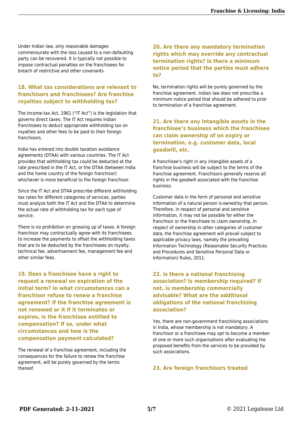Under Indian law, only reasonable damages commensurate with the loss caused to a non-defaulting party can be recovered. It is typically not possible to impose contractual penalties on the franchisees for breach of restrictive and other covenants.

#### **18. What tax considerations are relevant to franchisors and franchisees? Are franchise royalties subject to withholding tax?**

The Income-tax Act, 1961 ("IT Act") is the legislation that governs direct taxes. The IT Act requires Indian franchisees to deduct appropriate withholding tax on royalties and other fees to be paid to their foreign franchisors.

India has entered into double taxation avoidance agreements (DTAA) with various countries. The IT Act provides that withholding tax could be deducted at the rate prescribed in the IT Act, or the DTAA (between India and the home country of the foreign franchisor) whichever is more beneficial to the foreign franchisor.

Since the IT Act and DTAA prescribe different withholding tax rates for different categories of services, parties must analyze both the IT Act and the DTAA to determine the actual rate of withholding tax for each type of service.

There is no prohibition on grossing up of taxes. A foreign franchisor may contractually agree with its franchisees to increase the payments to offset the withholding taxes that are to be deducted by the franchisees on royalty, technical fee, advertisement fee, management fee and other similar fees.

**19. Does a franchisee have a right to request a renewal on expiration of the initial term? In what circumstances can a franchisor refuse to renew a franchise agreement? If the franchise agreement is not renewed or it if it terminates or expires, is the franchisee entitled to compensation? If so, under what circumstances and how is the compensation payment calculated?**

The renewal of a franchise agreement, including the consequences for the failure to renew the franchise agreement, will be purely governed by the terms thereof.

#### **20. Are there any mandatory termination rights which may override any contractual termination rights? Is there a minimum notice period that the parties must adhere to?**

No, termination rights will be purely governed by the franchise agreement. Indian law does not prescribe a minimum notice period that should be adhered to prior to termination of a franchise agreement.

#### **21. Are there any intangible assets in the franchisee's business which the franchisee can claim ownership of on expiry or termination, e.g. customer data, local goodwill, etc.**

A franchisee's right in any intangible assets of a franchise business will be subject to the terms of the franchise agreement. Franchisors generally reserve all rights in the goodwill associated with the franchise business.

Customer data in the form of personal and sensitive information of a natural person is owned by that person. Therefore, in respect of personal and sensitive information, it may not be possible for either the franchisor or the franchisee to claim ownership. In respect of ownership in other categories of customer data, the franchise agreement will prevail subject to applicable privacy laws, namely the prevailing Information Technology (Reasonable Security Practices and Procedures and Sensitive Personal Data or Information) Rules, 2011.

#### **22. Is there a national franchising association? Is membership required? If not, is membership commercially advisable? What are the additional obligations of the national franchising association?**

Yes, there are non-government franchising associations in India, whose membership is not mandatory. A franchisor or a franchisee may opt to become a member of one or more such organisations after evaluating the proposed benefits from the services to be provided by such associations.

#### **23. Are foreign franchisors treated**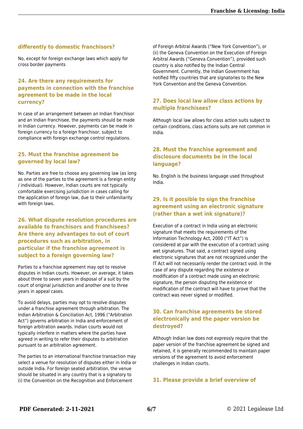#### **differently to domestic franchisors?**

No, except for foreign exchange laws which apply for cross border payments

#### **24. Are there any requirements for payments in connection with the franchise agreement to be made in the local currency?**

In case of an arrangement between an Indian franchisor and an Indian franchisee, the payments should be made in Indian currency. However, payments can be made in foreign currency to a foreign franchisor, subject to compliance with foreign exchange control regulations.

#### **25. Must the franchise agreement be governed by local law?**

No. Parties are free to choose any governing law (as long as one of the parties to the agreement is a foreign entity / individual). However, Indian courts are not typically comfortable exercising jurisdiction in cases calling for the application of foreign law, due to their unfamiliarity with foreign laws.

#### **26. What dispute resolution procedures are available to franchisors and franchisees? Are there any advantages to out of court procedures such as arbitration, in particular if the franchise agreement is subject to a foreign governing law?**

Parties to a franchise agreement may opt to resolve disputes in Indian courts. However, on average, it takes about three to seven years in disposal of a suit by the court of original jurisdiction and another one to three years in appeal cases.

To avoid delays, parties may opt to resolve disputes under a franchise agreement through arbitration. The Indian Arbitration & Conciliation Act, 1996 ("Arbitration Act") governs arbitration in India and enforcement of foreign arbitration awards. Indian courts would not typically interfere in matters where the parties have agreed in writing to refer their disputes to arbitration pursuant to an arbitration agreement.

The parties to an international franchise transaction may select a venue for resolution of disputes either in India or outside India. For foreign seated arbitration, the venue should be situated in any country that is a signatory to (i) the Convention on the Recognition and Enforcement

of Foreign Arbitral Awards ("New York Convention"), or (ii) the Geneva Convention on the Execution of Foreign Arbitral Awards ("Geneva Convention"), provided such country is also notified by the Indian Central Government. Currently, the Indian Government has notified fifty countries that are signatories to the New York Convention and the Geneva Convention.

#### **27. Does local law allow class actions by multiple franchisees?**

Although local law allows for class action suits subject to certain conditions, class actions suits are not common in India.

#### **28. Must the franchise agreement and disclosure documents be in the local language?**

No. English is the business language used throughout India.

#### **29. Is it possible to sign the franchise agreement using an electronic signature (rather than a wet ink signature)?**

Execution of a contract in India using an electronic signature that meets the requirements of the Information Technology Act, 2000 ("IT Act") is considered at par with the execution of a contract using wet signatures. That said, a contract signed using electronic signatures that are not recognized under the IT Act will not necessarily render the contract void. In the case of any dispute regarding the existence or modification of a contract made using an electronic signature, the person disputing the existence or modification of the contract will have to prove that the contract was never signed or modified.

#### **30. Can franchise agreements be stored electronically and the paper version be destroyed?**

Although Indian law does not expressly require that the paper version of the franchise agreement be signed and retained, it is generally recommended to maintain paper versions of the agreement to avoid enforcement challenges in Indian courts.

#### **31. Please provide a brief overview of**